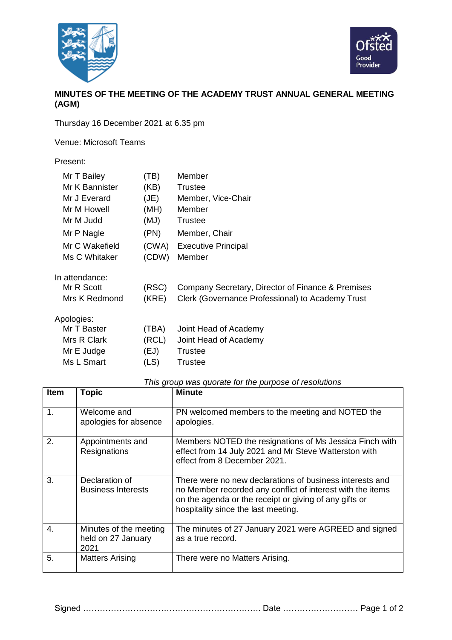



## **MINUTES OF THE MEETING OF THE ACADEMY TRUST ANNUAL GENERAL MEETING (AGM)**

Thursday 16 December 2021 at 6.35 pm

Venue: Microsoft Teams

## Present:

| Mr T Bailey<br>Mr K Bannister | (TB)<br>(KB) | Member<br>Trustee                                 |
|-------------------------------|--------------|---------------------------------------------------|
| Mr J Everard                  | (JE)         | Member, Vice-Chair                                |
| Mr M Howell                   | (MH)         | Member                                            |
| Mr M Judd                     | (MJ)         | Trustee                                           |
| Mr P Nagle                    | (PN)         | Member, Chair                                     |
| Mr C Wakefield                | (CWA)        | <b>Executive Principal</b>                        |
| Ms C Whitaker                 | (CDW)        | Member                                            |
| In attendance:                |              |                                                   |
| Mr R Scott                    | (RSC)        | Company Secretary, Director of Finance & Premises |
| Mrs K Redmond                 | (KRE)        | Clerk (Governance Professional) to Academy Trust  |
| Apologies:                    |              |                                                   |
| Mr T Baster                   | (TBA)        | Joint Head of Academy                             |
| Mrs R Clark                   | (RCL)        | Joint Head of Academy                             |
| Mr E Judge                    | (EJ)         | Trustee                                           |
| Ms L Smart                    | (LS)         | Trustee                                           |

## *This group was quorate for the purpose of resolutions*

| <b>Item</b>    | <b>Topic</b>                                         | <b>Minute</b>                                                                                                                                                                                                           |
|----------------|------------------------------------------------------|-------------------------------------------------------------------------------------------------------------------------------------------------------------------------------------------------------------------------|
| $\mathbf 1$ .  | Welcome and<br>apologies for absence                 | PN welcomed members to the meeting and NOTED the<br>apologies.                                                                                                                                                          |
| 2.             | Appointments and<br>Resignations                     | Members NOTED the resignations of Ms Jessica Finch with<br>effect from 14 July 2021 and Mr Steve Watterston with<br>effect from 8 December 2021.                                                                        |
| 3.             | Declaration of<br><b>Business Interests</b>          | There were no new declarations of business interests and<br>no Member recorded any conflict of interest with the items<br>on the agenda or the receipt or giving of any gifts or<br>hospitality since the last meeting. |
| $\mathbf{4}$ . | Minutes of the meeting<br>held on 27 January<br>2021 | The minutes of 27 January 2021 were AGREED and signed<br>as a true record.                                                                                                                                              |
| 5.             | <b>Matters Arising</b>                               | There were no Matters Arising.                                                                                                                                                                                          |